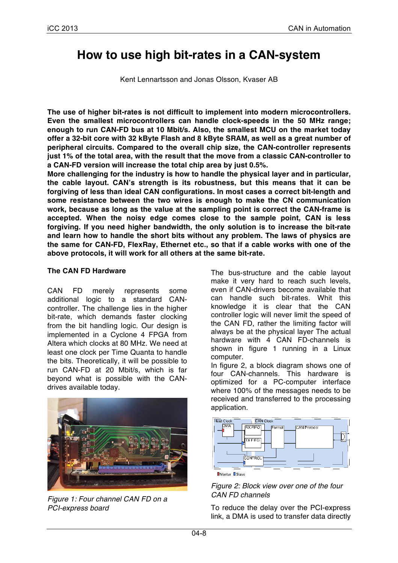# **How to use high bit-rates in a CAN-system**

Kent Lennartsson and Jonas Olsson, Kvaser AB

**The use of higher bit-rates is not difficult to implement into modern microcontrollers. Even the smallest microcontrollers can handle clock-speeds in the 50 MHz range; enough to run CAN-FD bus at 10 Mbit/s. Also, the smallest MCU on the market today offer a 32-bit core with 32 kByte Flash and 8 kByte SRAM, as well as a great number of peripheral circuits. Compared to the overall chip size, the CAN-controller represents just 1% of the total area, with the result that the move from a classic CAN-controller to a CAN-FD version will increase the total chip area by just 0.5%.**

**More challenging for the industry is how to handle the physical layer and in particular, the cable layout. CAN's strength is its robustness, but this means that it can be forgiving of less than ideal CAN configurations. In most cases a correct bit-length and some resistance between the two wires is enough to make the CN communication work, because as long as the value at the sampling point is correct the CAN-frame is accepted. When the noisy edge comes close to the sample point, CAN is less forgiving. If you need higher bandwidth, the only solution is to increase the bit-rate and learn how to handle the short bits without any problem. The laws of physics are the same for CAN-FD, FlexRay, Ethernet etc., so that if a cable works with one of the above protocols, it will work for all others at the same bit-rate.**

#### **The CAN FD Hardware**

CAN FD merely represents some additional logic to a standard CANcontroller. The challenge lies in the higher bit-rate, which demands faster clocking from the bit handling logic. Our design is implemented in a Cyclone 4 FPGA from Altera which clocks at 80 MHz. We need at least one clock per Time Quanta to handle the bits. Theoretically, it will be possible to run CAN-FD at 20 Mbit/s, which is far beyond what is possible with the CANdrives available today.



*Figure 1: Four channel CAN FD on a PCI-express board*

The bus-structure and the cable layout make it very hard to reach such levels, even if CAN-drivers become available that can handle such bit-rates. Whit this knowledge it is clear that the CAN controller logic will never limit the speed of the CAN FD, rather the limiting factor will always be at the physical layer The actual hardware with 4 CAN FD-channels is shown in figure 1 running in a Linux computer.

In figure 2, a block diagram shows one of four CAN-channels. This hardware is optimized for a PC-computer interface where 100% of the messages needs to be received and transferred to the processing application.



#### *Figure 2: Block view over one of the four CAN FD channels*

To reduce the delay over the PCI-express link, a DMA is used to transfer data directly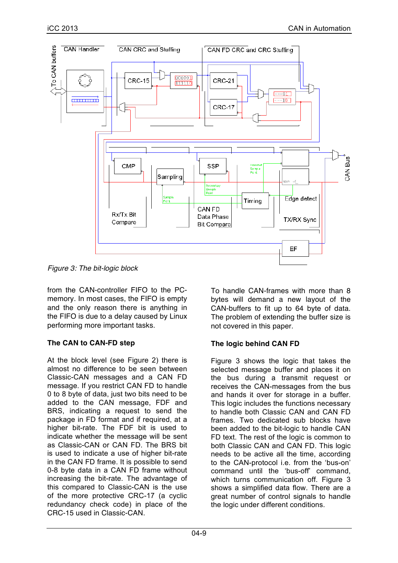

*Figure 3: The bit-logic block*

from the CAN-controller FIFO to the PCmemory. In most cases, the FIFO is empty and the only reason there is anything in the FIFO is due to a delay caused by Linux performing more important tasks.

### **The CAN to CAN-FD step**

At the block level (see Figure 2) there is almost no difference to be seen between Classic-CAN messages and a CAN FD message. If you restrict CAN FD to handle 0 to 8 byte of data, just two bits need to be added to the CAN message, FDF and BRS, indicating a request to send the package in FD format and if required, at a higher bit-rate. The FDF bit is used to indicate whether the message will be sent as Classic-CAN or CAN FD. The BRS bit is used to indicate a use of higher bit-rate in the CAN FD frame. It is possible to send 0-8 byte data in a CAN FD frame without increasing the bit-rate. The advantage of this compared to Classic-CAN is the use of the more protective CRC-17 (a cyclic redundancy check code) in place of the CRC-15 used in Classic-CAN.

To handle CAN-frames with more than 8 bytes will demand a new layout of the CAN-buffers to fit up to 64 byte of data. The problem of extending the buffer size is not covered in this paper.

### **The logic behind CAN FD**

Figure 3 shows the logic that takes the selected message buffer and places it on the bus during a transmit request or receives the CAN-messages from the bus and hands it over for storage in a buffer. This logic includes the functions necessary to handle both Classic CAN and CAN FD frames. Two dedicated sub blocks have been added to the bit-logic to handle CAN FD text. The rest of the logic is common to both Classic CAN and CAN FD. This logic needs to be active all the time, according to the CAN-protocol i.e. from the 'bus-on' command until the 'bus-off' command, which turns communication off. Figure 3 shows a simplified data flow. There are a great number of control signals to handle the logic under different conditions.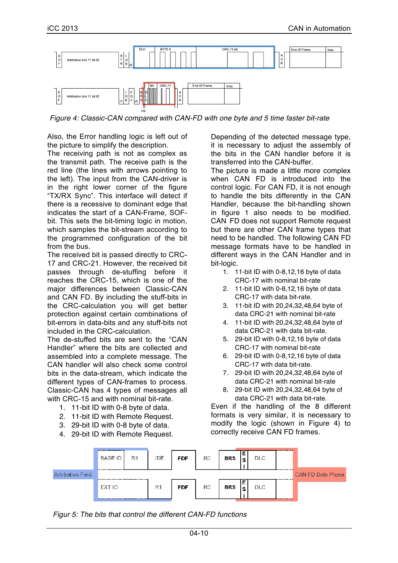

*Figure 4: Classic-CAN compared with CAN-FD with one byte and 5 time faster bit-rate*

Also, the Error handling logic is left out of the picture to simplify the description.

The receiving path is not as complex as the transmit path. The receive path is the red line (the lines with arrows pointing to the left). The input from the CAN-driver is in the right lower corner of the figure "TX/RX Sync". This interface will detect if there is a recessive to dominant edge that indicates the start of a CAN-Frame, SOFbit. This sets the bit-timing logic in motion, which samples the bit-stream according to the programmed configuration of the bit from the bus.

The received bit is passed directly to CRC-17 and CRC-21. However, the received bit passes through de-stuffing before it reaches the CRC-15, which is one of the major differences between Classic-CAN and CAN FD. By including the stuff-bits in the CRC-calculation you will get better protection against certain combinations of bit-errors in data-bits and any stuff-bits not included in the CRC-calculation.

The de-stuffed bits are sent to the "CAN Handler" where the bits are collected and assembled into a complete message. The CAN handler will also check some control bits in the data-stream, which indicate the different types of CAN-frames to process. Classic-CAN has 4 types of messages all with CRC-15 and with nominal bit-rate.

- 1. 11-bit ID with 0-8 byte of data.
- 2. 11-bit ID with Remote Request.
- 3. 29-bit ID with 0-8 byte of data.
- 4. 29-bit ID with Remote Request.

Depending of the detected message type, it is necessary to adjust the assembly of the bits in the CAN handler before it is transferred into the CAN-buffer.

The picture is made a little more complex when CAN FD is introduced into the control logic. For CAN FD, it is not enough to handle the bits differently in the CAN Handler, because the bit-handling shown in figure 1 also needs to be modified. CAN FD does not support Remote request but there are other CAN frame types that need to be handled. The following CAN FD message formats have to be handled in different ways in the CAN Handler and in bit-logic.

- 1. 11-bit ID with 0-8,12,16 byte of data CRC-17 with nominal bit-rate
- 2. 11-bit ID with 0-8,12,16 byte of data CRC-17 with data bit-rate.
- 3. 11-bit ID with 20,24,32,48,64 byte of data CRC-21 with nominal bit-rate
- 4. 11-bit ID with 20,24,32,48,64 byte of data CRC-21 with data bit-rate.
- 5. 29-bit ID with 0-8,12,16 byte of data CRC-17 with nominal bit-rate
- 6. 29-bit ID with 0-8,12,16 byte of data CRC-17 with data bit-rate.
- 7. 29-bit ID with 20,24,32,48,64 byte of data CRC-21 with nominal bit-rate
- 8. 29-bit ID with 20,24,32,48,64 byte of data CRC-21 with data bit-rate.

Even if the handling of the 8 different formats is very similar, it is necessary to modify the logic (shown in Figure 4) to correctly receive CAN FD frames.



*Figur 5: The bits that control the different CAN-FD functions*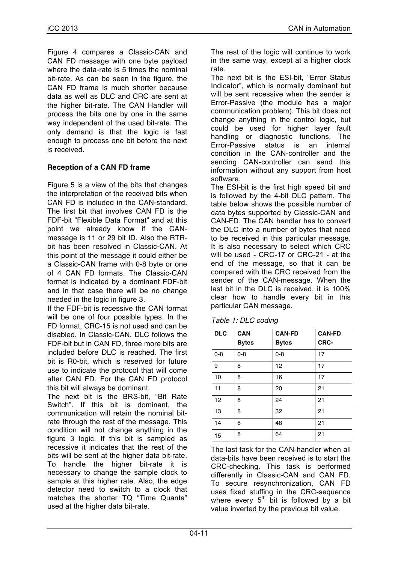Figure 4 compares a Classic-CAN and CAN FD message with one byte payload where the data-rate is 5 times the nominal bit-rate. As can be seen in the figure, the CAN FD frame is much shorter because data as well as DLC and CRC are sent at the higher bit-rate. The CAN Handler will process the bits one by one in the same way independent of the used bit-rate. The only demand is that the logic is fast enough to process one bit before the next is received.

#### **Reception of a CAN FD frame**

Figure 5 is a view of the bits that changes the interpretation of the received bits when CAN FD is included in the CAN-standard. The first bit that involves CAN FD is the FDF-bit "Flexible Data Format" and at this point we already know if the CANmessage is 11 or 29 bit ID. Also the RTRbit has been resolved in Classic-CAN. At this point of the message it could either be a Classic-CAN frame with 0-8 byte or one of 4 CAN FD formats. The Classic-CAN format is indicated by a dominant FDF-bit and in that case there will be no change needed in the logic in figure 3.

If the FDF-bit is recessive the CAN format will be one of four possible types. In the FD format, CRC-15 is not used and can be disabled. In Classic-CAN, DLC follows the FDF-bit but in CAN FD, three more bits are included before DLC is reached. The first bit is R0-bit, which is reserved for future use to indicate the protocol that will come after CAN FD. For the CAN FD protocol this bit will always be dominant.

The next bit is the BRS-bit, "Bit Rate Switch". If this bit is dominant, the communication will retain the nominal bitrate through the rest of the message. This condition will not change anything in the figure 3 logic. If this bit is sampled as recessive it indicates that the rest of the bits will be sent at the higher data bit-rate. To handle the higher bit-rate it is necessary to change the sample clock to sample at this higher rate. Also, the edge detector need to switch to a clock that matches the shorter TQ "Time Quanta" used at the higher data bit-rate.

The rest of the logic will continue to work in the same way, except at a higher clock rate.

The next bit is the ESI-bit, "Error Status Indicator", which is normally dominant but will be sent recessive when the sender is Error-Passive (the module has a major communication problem). This bit does not change anything in the control logic, but could be used for higher layer fault handling or diagnostic functions. The Error-Passive status is an internal condition in the CAN-controller and the sending CAN-controller can send this information without any support from host software.

The ESI-bit is the first high speed bit and is followed by the 4-bit DLC pattern. The table below shows the possible number of data bytes supported by Classic-CAN and CAN-FD. The CAN handler has to convert the DLC into a number of bytes that need to be received in this particular message. It is also necessary to select which CRC will be used - CRC-17 or CRC-21 - at the end of the message, so that it can be compared with the CRC received from the sender of the CAN-message. When the last bit in the DLC is received, it is 100% clear how to handle every bit in this particular CAN message.

| <b>DLC</b> | <b>CAN</b>   | <b>CAN-FD</b> | <b>CAN-FD</b> |
|------------|--------------|---------------|---------------|
|            | <b>Bytes</b> | <b>Bytes</b>  | CRC-          |
| $0 - 8$    | $0 - 8$      | $0 - 8$       | 17            |
| 9          | 8            | 12            | 17            |
| 10         | 8            | 16            | 17            |
| 11         | 8            | 20            | 21            |
| 12         | 8            | 24            | 21            |
| 13         | 8            | 32            | 21            |
| 14         | 8            | 48            | 21            |
| 15         | 8            | 64            | 21            |

| Table 1: DLC coding |  |
|---------------------|--|
|---------------------|--|

The last task for the CAN-handler when all data-bits have been received is to start the CRC-checking. This task is performed differently in Classic-CAN and CAN FD. To secure resynchronization, CAN FD uses fixed stuffing in the CRC-sequence where every  $5<sup>th</sup>$  bit is followed by a bit value inverted by the previous bit value.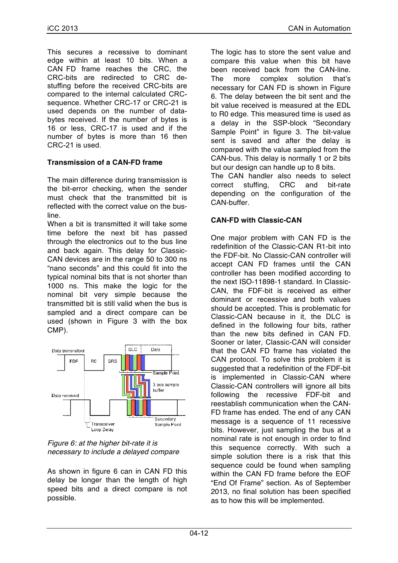This secures a recessive to dominant edge within at least 10 bits. When a CAN FD frame reaches the CRC, the CRC-bits are redirected to CRC destuffing before the received CRC-bits are compared to the internal calculated CRCsequence. Whether CRC-17 or CRC-21 is used depends on the number of databytes received. If the number of bytes is 16 or less, CRC-17 is used and if the number of bytes is more than 16 then CRC-21 is used.

### **Transmission of a CAN-FD frame**

The main difference during transmission is the bit-error checking, when the sender must check that the transmitted bit is reflected with the correct value on the busline.

When a bit is transmitted it will take some time before the next bit has passed through the electronics out to the bus line and back again. This delay for Classic-CAN devices are in the range 50 to 300 ns "nano seconds" and this could fit into the typical nominal bits that is not shorter than 1000 ns. This make the logic for the nominal bit very simple because the transmitted bit is still valid when the bus is sampled and a direct compare can be used (shown in Figure 3 with the box CMP).



*Figure 6: at the higher bit-rate it is necessary to include a delayed compare*

As shown in figure 6 can in CAN FD this delay be longer than the length of high speed bits and a direct compare is not possible.

The logic has to store the sent value and compare this value when this bit have been received back from the CAN-line. The more complex solution that's necessary for CAN FD is shown in Figure 6. The delay between the bit sent and the bit value received is measured at the EDL to R0 edge. This measured time is used as a delay in the SSP-block "Secondary Sample Point" in figure 3. The bit-value sent is saved and after the delay is compared with the value sampled from the CAN-bus. This delay is normally 1 or 2 bits but our design can handle up to 8 bits.

The CAN handler also needs to select correct stuffing, CRC and bit-rate depending on the configuration of the CAN-buffer.

#### **CAN-FD with Classic-CAN**

One major problem with CAN FD is the redefinition of the Classic-CAN R1-bit into the FDF-bit. No Classic-CAN controller will accept CAN FD frames until the CAN controller has been modified according to the next ISO-11898-1 standard. In Classic-CAN, the FDF-bit is received as either dominant or recessive and both values should be accepted. This is problematic for Classic-CAN because in it, the DLC is defined in the following four bits, rather than the new bits defined in CAN FD. Sooner or later, Classic-CAN will consider that the CAN FD frame has violated the CAN protocol. To solve this problem it is suggested that a redefinition of the FDF-bit is implemented in Classic-CAN where Classic-CAN controllers will ignore all bits following the recessive FDF-bit and reestablish communication when the CAN-FD frame has ended. The end of any CAN message is a sequence of 11 recessive bits. However, just sampling the bus at a nominal rate is not enough in order to find this sequence correctly. With such a simple solution there is a risk that this sequence could be found when sampling within the CAN FD frame before the EOF "End Of Frame" section. As of September 2013, no final solution has been specified as to how this will be implemented.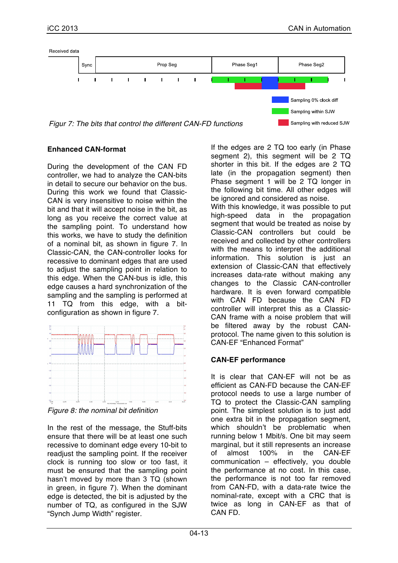

**Enhanced CAN-format**

During the development of the CAN FD controller, we had to analyze the CAN-bits in detail to secure our behavior on the bus. During this work we found that Classic-CAN is very insensitive to noise within the bit and that it will accept noise in the bit, as long as you receive the correct value at the sampling point. To understand how this works, we have to study the definition of a nominal bit, as shown in figure 7. In Classic-CAN, the CAN-controller looks for recessive to dominant edges that are used to adjust the sampling point in relation to this edge. When the CAN-bus is idle, this edge causes a hard synchronization of the sampling and the sampling is performed at 11 TQ from this edge, with a bitconfiguration as shown in figure 7.



*Figure 8: the nominal bit definition*

In the rest of the message, the Stuff-bits ensure that there will be at least one such recessive to dominant edge every 10-bit to readjust the sampling point. If the receiver clock is running too slow or too fast, it must be ensured that the sampling point hasn't moved by more than 3 TQ (shown in green, in figure 7). When the dominant edge is detected, the bit is adjusted by the number of TQ, as configured in the SJW "Synch Jump Width" register.

If the edges are 2 TQ too early (in Phase segment 2), this segment will be 2 TQ shorter in this bit. If the edges are 2 TQ late (in the propagation segment) then Phase segment 1 will be 2 TQ longer in the following bit time. All other edges will be ignored and considered as noise. With this knowledge, it was possible to put high-speed data in the propagation segment that would be treated as noise by Classic-CAN controllers but could be received and collected by other controllers with the means to interpret the additional information. This solution is just an extension of Classic-CAN that effectively increases data-rate without making any changes to the Classic CAN-controller hardware. It is even forward compatible with CAN FD because the CAN FD controller will interpret this as a Classic-CAN frame with a noise problem that will be filtered away by the robust CANprotocol. The name given to this solution is CAN-EF "Enhanced Format"

## **CAN-EF performance**

It is clear that CAN-EF will not be as efficient as CAN-FD because the CAN-EF protocol needs to use a large number of TQ to protect the Classic-CAN sampling point. The simplest solution is to just add one extra bit in the propagation segment, which shouldn't be problematic when running below 1 Mbit/s. One bit may seem marginal, but it still represents an increase<br>of almost 100% in the CAN-EF of almost 100% in the CAN-EF communication – effectively, you double the performance at no cost. In this case, the performance is not too far removed from CAN-FD, with a data-rate twice the nominal-rate, except with a CRC that is twice as long in CAN-EF as that of CAN FD.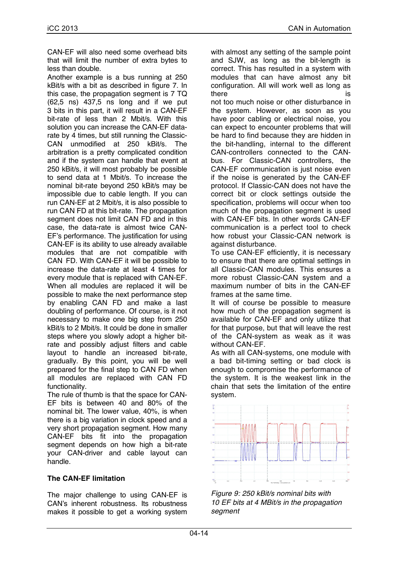CAN-EF will also need some overhead bits that will limit the number of extra bytes to less than double.

Another example is a bus running at 250 kBit/s with a bit as described in figure 7. In this case, the propagation segment is 7 TQ (62,5 ns) 437,5 ns long and if we put 3 bits in this part, it will result in a CAN-EF bit-rate of less than 2 Mbit/s. With this solution you can increase the CAN-EF datarate by 4 times, but still running the Classic-CAN unmodified at 250 kBit/s. The arbitration is a pretty complicated condition and if the system can handle that event at 250 kBit/s, it will most probably be possible to send data at 1 Mbit/s. To increase the nominal bit-rate beyond 250 kBit/s may be impossible due to cable length. If you can run CAN-EF at 2 Mbit/s, it is also possible to run CAN FD at this bit-rate. The propagation segment does not limit CAN FD and in this case, the data-rate is almost twice CAN-EF's performance. The justification for using CAN-EF is its ability to use already available modules that are not compatible with CAN FD. With CAN-EF it will be possible to increase the data-rate at least 4 times for every module that is replaced with CAN-EF. When all modules are replaced it will be possible to make the next performance step by enabling CAN FD and make a last doubling of performance. Of course, is it not necessary to make one big step from 250 kBit/s to 2 Mbit/s. It could be done in smaller steps where you slowly adopt a higher bitrate and possibly adjust filters and cable layout to handle an increased bit-rate, gradually. By this point, you will be well prepared for the final step to CAN FD when all modules are replaced with CAN FD functionality.

The rule of thumb is that the space for CAN-EF bits is between 40 and 80% of the nominal bit. The lower value, 40%, is when there is a big variation in clock speed and a very short propagation segment. How many CAN-EF bits fit into the propagation segment depends on how high a bit-rate your CAN-driver and cable layout can handle.

#### **The CAN-EF limitation**

The major challenge to using CAN-EF is CAN's inherent robustness. Its robustness makes it possible to get a working system with almost any setting of the sample point and SJW, as long as the bit-length is correct. This has resulted in a system with modules that can have almost any bit configuration. All will work well as long as there is a contract of the set of the set of the set of the set of the set of the set of the set of the set of not too much noise or other disturbance in the system. However, as soon as you have poor cabling or electrical noise, you can expect to encounter problems that will be hard to find because they are hidden in

the bit-handling, internal to the different CAN-controllers connected to the CANbus. For Classic-CAN controllers, the CAN-EF communication is just noise even if the noise is generated by the CAN-EF protocol. If Classic-CAN does not have the correct bit or clock settings outside the specification, problems will occur when too much of the propagation segment is used with CAN-EF bits. In other words CAN-EF communication is a perfect tool to check how robust your Classic-CAN network is against disturbance.

To use CAN-EF efficiently, it is necessary to ensure that there are optimal settings in all Classic-CAN modules. This ensures a more robust Classic-CAN system and a maximum number of bits in the CAN-EF frames at the same time.

It will of course be possible to measure how much of the propagation segment is available for CAN-EF and only utilize that for that purpose, but that will leave the rest of the CAN-system as weak as it was without CAN-EF.

As with all CAN-systems, one module with a bad bit-timing setting or bad clock is enough to compromise the performance of the system. It is the weakest link in the chain that sets the limitation of the entire system.



*Figure 9: 250 kBit/s nominal bits with 10 EF bits at 4 MBit/s in the propagation segment*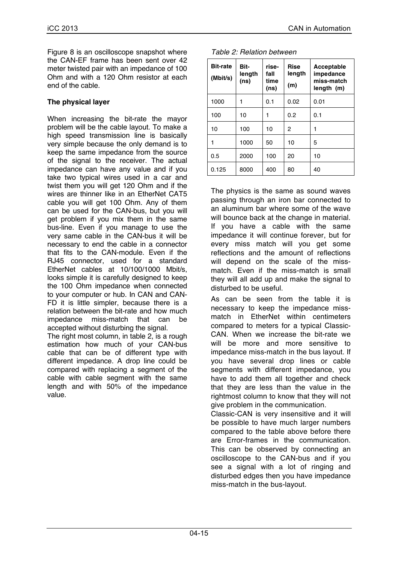Figure 8 is an oscilloscope snapshot where the CAN-EF frame has been sent over 42 meter twisted pair with an impedance of 100 Ohm and with a 120 Ohm resistor at each end of the cable.

#### **The physical layer**

When increasing the bit-rate the mayor problem will be the cable layout. To make a high speed transmission line is basically very simple because the only demand is to keep the same impedance from the source of the signal to the receiver. The actual impedance can have any value and if you take two typical wires used in a car and twist them you will get 120 Ohm and if the wires are thinner like in an EtherNet CAT5 cable you will get 100 Ohm. Any of them can be used for the CAN-bus, but you will get problem if you mix them in the same bus-line. Even if you manage to use the very same cable in the CAN-bus it will be necessary to end the cable in a connector that fits to the CAN-module. Even if the RJ45 connector, used for a standard EtherNet cables at 10/100/1000 Mbit/s, looks simple it is carefully designed to keep the 100 Ohm impedance when connected to your computer or hub. In CAN and CAN-FD it is little simpler, because there is a relation between the bit-rate and how much impedance miss-match that can be accepted without disturbing the signal.

The right most column, in table 2, is a rough estimation how much of your CAN-bus cable that can be of different type with different impedance. A drop line could be compared with replacing a segment of the cable with cable segment with the same length and with 50% of the impedance value.

| <b>Bit-rate</b><br>(Mbit/s) | Bit-<br>length<br>(ns) | rise-<br>fall<br>time<br>(ns) | Rise<br>length<br>(m) | Acceptable<br>impedance<br>miss-match<br>length (m) |
|-----------------------------|------------------------|-------------------------------|-----------------------|-----------------------------------------------------|
| 1000                        |                        | 0.1                           | 0.02                  | 0.01                                                |
| 100                         | 10                     | 1                             | 0.2                   | 0.1                                                 |
| 10                          | 100                    | 10                            | 2                     | 1                                                   |
|                             | 1000                   | 50                            | 10                    | 5                                                   |
| 0.5                         | 2000                   | 100                           | 20                    | 10                                                  |
| 0.125                       | 8000                   | 400                           | 80                    | 40                                                  |

*Table 2: Relation between* 

The physics is the same as sound waves passing through an iron bar connected to an aluminum bar where some of the wave will bounce back at the change in material. If you have a cable with the same impedance it will continue forever, but for every miss match will you get some reflections and the amount of reflections will depend on the scale of the missmatch. Even if the miss-match is small they will all add up and make the signal to disturbed to be useful.

As can be seen from the table it is necessary to keep the impedance missmatch in EtherNet within centimeters compared to meters for a typical Classic-CAN. When we increase the bit-rate we will be more and more sensitive to impedance miss-match in the bus layout. If you have several drop lines or cable segments with different impedance, you have to add them all together and check that they are less than the value in the rightmost column to know that they will not give problem in the communication.

Classic-CAN is very insensitive and it will be possible to have much larger numbers compared to the table above before there are Error-frames in the communication. This can be observed by connecting an oscilloscope to the CAN-bus and if you see a signal with a lot of ringing and disturbed edges then you have impedance miss-match in the bus-layout.